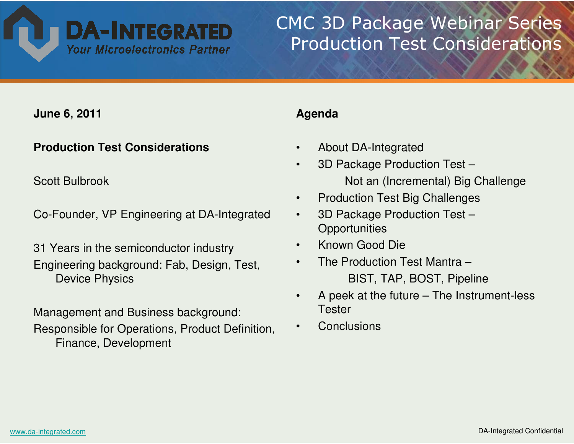

# CMC 3D Package Webinar SeriesProduction Test Considerations

**June 6, 2011**

#### **Production Test Considerations**

Scott Bulbrook

Co-Founder, VP Engineering at DA-Integrated

31 Years in the semiconductor industryEngineering background: Fab, Design, Test, Device Physics

Management and Business background:Responsible for Operations, Product Definition, Finance, Development

#### **Agenda**

- •About DA-Integrated
- • 3D Package Production Test –Not an (Incremental) Big Challenge
- •Production Test Big Challenges
- $\bullet$  3D Package Production Test –**Opportunities**
- •Known Good Die
- • The Production Test Mantra –BIST, TAP, BOST, Pipeline
- A peek at the future The Instrument-less •**Tester**
- •**Conclusions**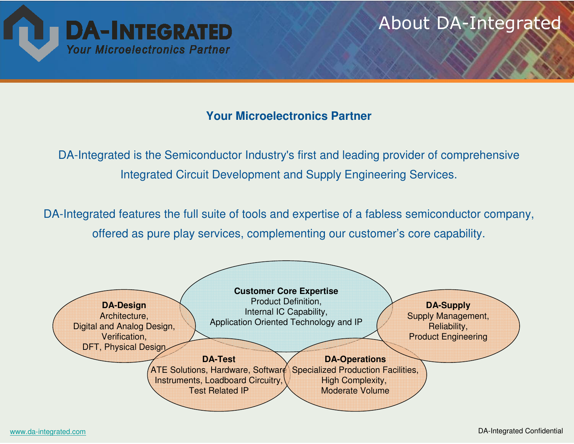

#### **Your Microelectronics Partner**

DA-Integrated is the Semiconductor Industry's first and leading provider of comprehensive Integrated Circuit Development and Supply Engineering Services.

DA-Integrated features the full suite of tools and expertise of a fabless semiconductor company, offered as pure play services, complementing our customer's core capability.

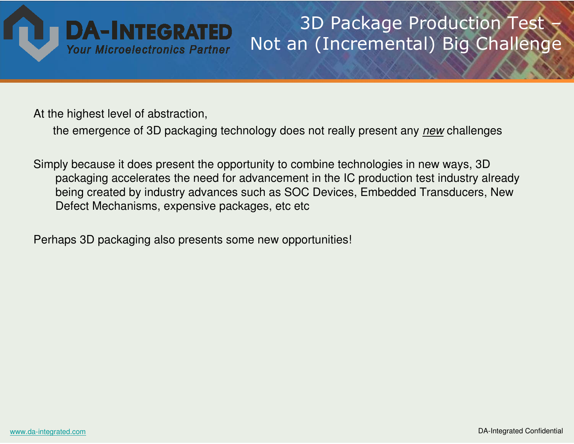

## 3D Package Production Test –Not an (Incremental) Big Challenge

At the highest level of abstraction,

the emergence of 3D packaging technology does not really present any <u>new</u> challenges

Simply because it does present the opportunity to combine technologies in new ways, 3D packaging accelerates the need for advancement in the IC production test industry already being created by industry advances such as SOC Devices, Embedded Transducers, New Defect Mechanisms, expensive packages, etc etc

Perhaps 3D packaging also presents some new opportunities!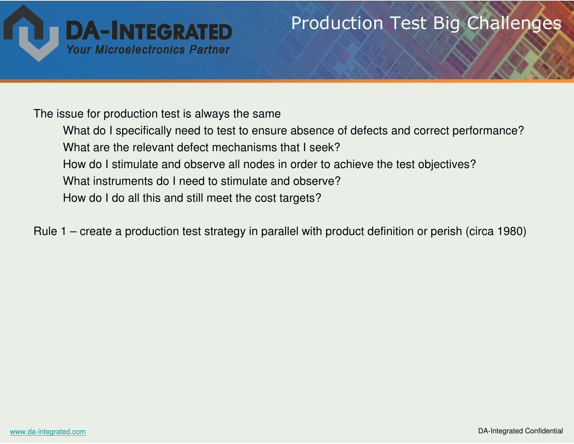

## Production Test Big Challenges

The issue for production test is always the same

What do I specifically need to test to ensure absence of defects and correct performance?What are the relevant defect mechanisms that I seek? How do I stimulate and observe all nodes in order to achieve the test objectives?What instruments do I need to stimulate and observe?How do I do all this and still meet the cost targets?

Rule 1 – create a production test strategy in parallel with product definition or perish (circa 1980)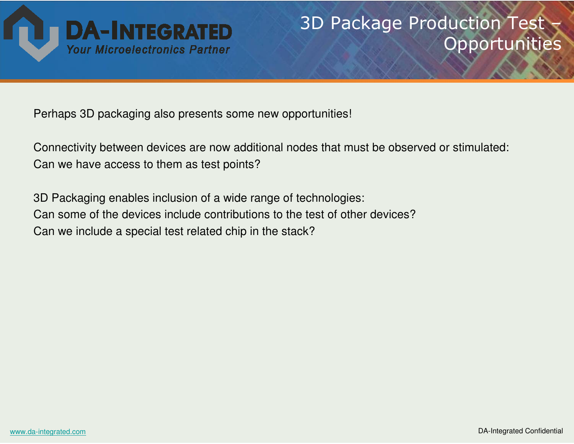

# 3D Package Production Test Opportunities

Perhaps 3D packaging also presents some new opportunities!

Connectivity between devices are now additional nodes that must be observed or stimulated: Can we have access to them as test points?

3D Packaging enables inclusion of a wide range of technologies:Can some of the devices include contributions to the test of other devices?Can we include a special test related chip in the stack?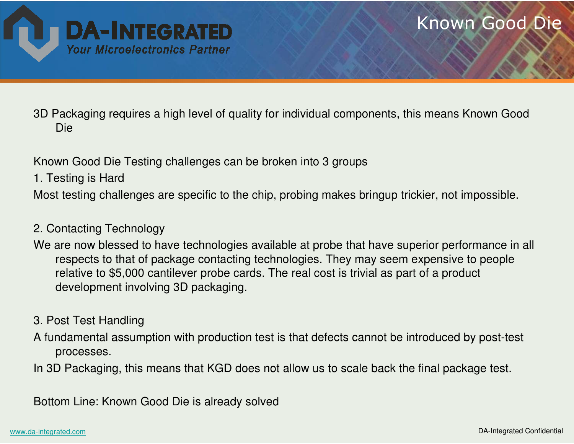

### Known Good Die

3D Packaging requires a high level of quality for individual components, this means Known Good Die

Known Good Die Testing challenges can be broken into 3 groups

1. Testing is Hard

Most testing challenges are specific to the chip, probing makes bringup trickier, not impossible.

#### 2. Contacting Technology

We are now blessed to have technologies available at probe that have superior performance in all respects to that of package contacting technologies. They may seem expensive to people relative to \$5,000 cantilever probe cards. The real cost is trivial as part of a product development involving 3D packaging.

#### 3. Post Test Handling

A fundamental assumption with production test is that defects cannot be introduced by post-test processes.

In 3D Packaging, this means that KGD does not allow us to scale back the final package test.

Bottom Line: Known Good Die is already solved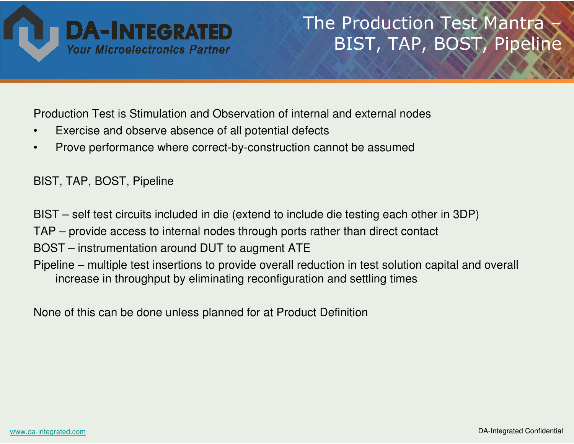

# The Production Test Mantra BIST, TAP, BOST, Pipeline

Production Test is Stimulation and Observation of internal and external nodes

- •Exercise and observe absence of all potential defects
- •Prove performance where correct-by-construction cannot be assumed

BIST, TAP, BOST, Pipeline

BIST – self test circuits included in die (extend to include die testing each other in 3DP)

TAP – provide access to internal nodes through ports rather than direct contact

BOST – instrumentation around DUT to augment ATE

 Pipeline – multiple test insertions to provide overall reduction in test solution capital and overall increase in throughput by eliminating reconfiguration and settling times

None of this can be done unless planned for at Product Definition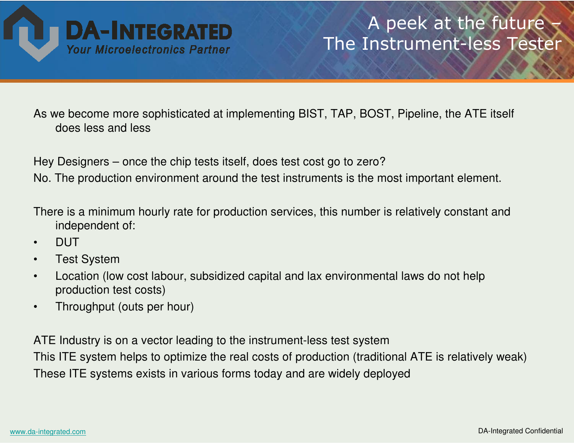

## A peek at the future The Instrument-less Tester

As we become more sophisticated at implementing BIST, TAP, BOST, Pipeline, the ATE itself does less and less

Hey Designers – once the chip tests itself, does test cost go to zero?

No. The production environment around the test instruments is the most important element.

There is a minimum hourly rate for production services, this number is relatively constant and independent of:

- •DUT
- Test System•
- Location (low cost labour, subsidized capital and lax environmental laws do not help •production test costs)
- •Throughput (outs per hour)

ATE Industry is on a vector leading to the instrument-less test system This ITE system helps to optimize the real costs of production (traditional ATE is relatively weak)These ITE systems exists in various forms today and are widely deployed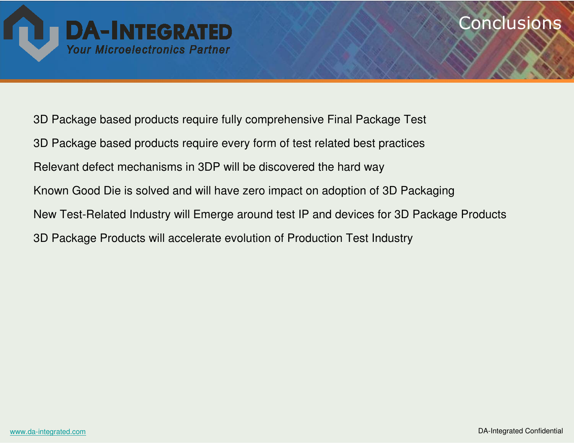

### **Conclusions**

3D Package based products require fully comprehensive Final Package Test3D Package based products require every form of test related best practicesRelevant defect mechanisms in 3DP will be discovered the hard wayKnown Good Die is solved and will have zero impact on adoption of 3D PackagingNew Test-Related Industry will Emerge around test IP and devices for 3D Package Products3D Package Products will accelerate evolution of Production Test Industry